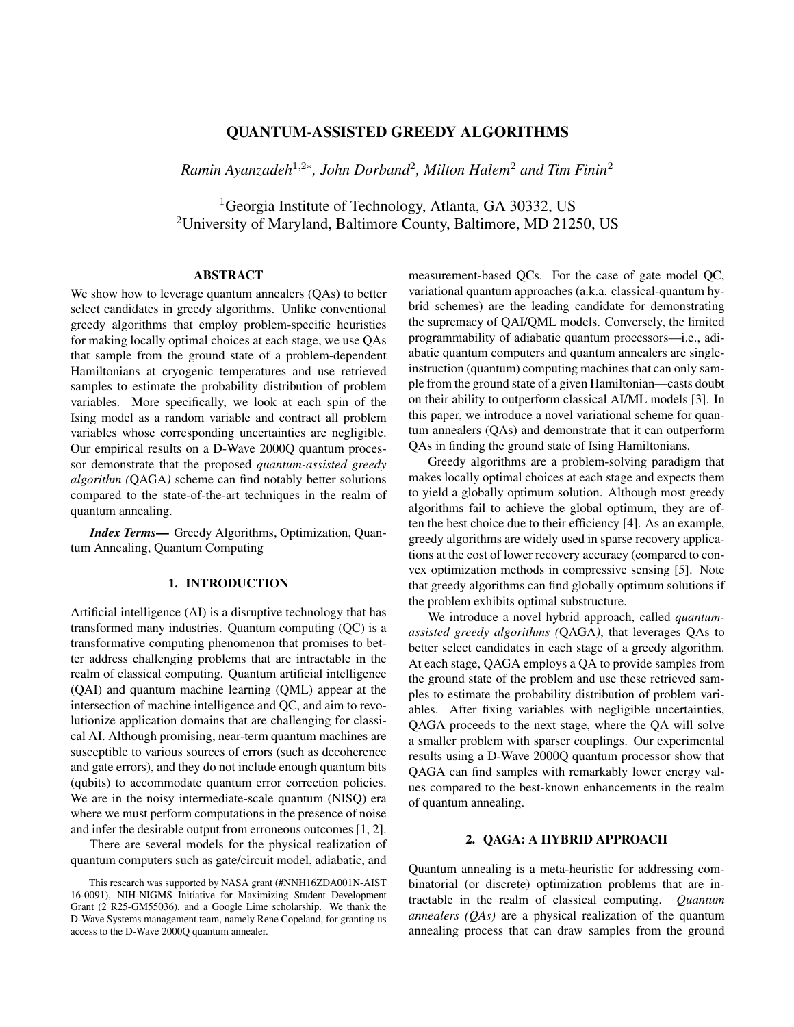# QUANTUM-ASSISTED GREEDY ALGORITHMS

*Ramin Ayanzadeh*<sup>1</sup>,2<sup>∗</sup> *, John Dorband*<sup>2</sup> *, Milton Halem*<sup>2</sup> *and Tim Finin*<sup>2</sup>

<sup>1</sup>Georgia Institute of Technology, Atlanta, GA 30332, US <sup>2</sup>University of Maryland, Baltimore County, Baltimore, MD 21250, US

#### ABSTRACT

We show how to leverage quantum annealers (QAs) to better select candidates in greedy algorithms. Unlike conventional greedy algorithms that employ problem-specific heuristics for making locally optimal choices at each stage, we use QAs that sample from the ground state of a problem-dependent Hamiltonians at cryogenic temperatures and use retrieved samples to estimate the probability distribution of problem variables. More specifically, we look at each spin of the Ising model as a random variable and contract all problem variables whose corresponding uncertainties are negligible. Our empirical results on a D-Wave 2000Q quantum processor demonstrate that the proposed *quantum-assisted greedy algorithm (*QAGA*)* scheme can find notably better solutions compared to the state-of-the-art techniques in the realm of quantum annealing.

*Index Terms*— Greedy Algorithms, Optimization, Quantum Annealing, Quantum Computing

#### 1. INTRODUCTION

Artificial intelligence (AI) is a disruptive technology that has transformed many industries. Quantum computing (QC) is a transformative computing phenomenon that promises to better address challenging problems that are intractable in the realm of classical computing. Quantum artificial intelligence (QAI) and quantum machine learning (QML) appear at the intersection of machine intelligence and QC, and aim to revolutionize application domains that are challenging for classical AI. Although promising, near-term quantum machines are susceptible to various sources of errors (such as decoherence and gate errors), and they do not include enough quantum bits (qubits) to accommodate quantum error correction policies. We are in the noisy intermediate-scale quantum (NISQ) era where we must perform computations in the presence of noise and infer the desirable output from erroneous outcomes [1, 2].

There are several models for the physical realization of quantum computers such as gate/circuit model, adiabatic, and measurement-based QCs. For the case of gate model QC, variational quantum approaches (a.k.a. classical-quantum hybrid schemes) are the leading candidate for demonstrating the supremacy of QAI/QML models. Conversely, the limited programmability of adiabatic quantum processors—i.e., adiabatic quantum computers and quantum annealers are singleinstruction (quantum) computing machines that can only sample from the ground state of a given Hamiltonian—casts doubt on their ability to outperform classical AI/ML models [3]. In this paper, we introduce a novel variational scheme for quantum annealers (QAs) and demonstrate that it can outperform QAs in finding the ground state of Ising Hamiltonians.

Greedy algorithms are a problem-solving paradigm that makes locally optimal choices at each stage and expects them to yield a globally optimum solution. Although most greedy algorithms fail to achieve the global optimum, they are often the best choice due to their efficiency [4]. As an example, greedy algorithms are widely used in sparse recovery applications at the cost of lower recovery accuracy (compared to convex optimization methods in compressive sensing [5]. Note that greedy algorithms can find globally optimum solutions if the problem exhibits optimal substructure.

We introduce a novel hybrid approach, called *quantumassisted greedy algorithms (*QAGA*)*, that leverages QAs to better select candidates in each stage of a greedy algorithm. At each stage, QAGA employs a QA to provide samples from the ground state of the problem and use these retrieved samples to estimate the probability distribution of problem variables. After fixing variables with negligible uncertainties, QAGA proceeds to the next stage, where the QA will solve a smaller problem with sparser couplings. Our experimental results using a D-Wave 2000Q quantum processor show that QAGA can find samples with remarkably lower energy values compared to the best-known enhancements in the realm of quantum annealing.

#### 2. QAGA: A HYBRID APPROACH

Quantum annealing is a meta-heuristic for addressing combinatorial (or discrete) optimization problems that are intractable in the realm of classical computing. *Quantum annealers (QAs)* are a physical realization of the quantum annealing process that can draw samples from the ground

This research was supported by NASA grant (#NNH16ZDA001N-AIST 16-0091), NIH-NIGMS Initiative for Maximizing Student Development Grant (2 R25-GM55036), and a Google Lime scholarship. We thank the D-Wave Systems management team, namely Rene Copeland, for granting us access to the D-Wave 2000Q quantum annealer.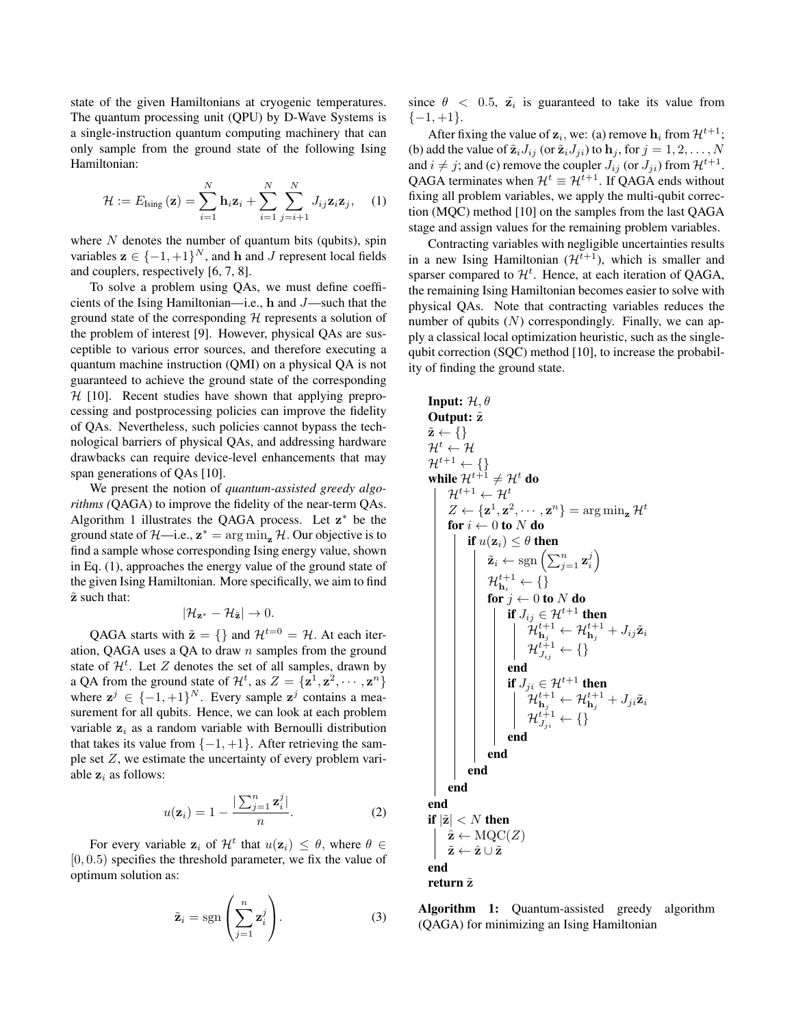state of the given Hamiltonians at cryogenic temperatures. The quantum processing unit (QPU) by D-Wave Systems is a single-instruction quantum computing machinery that can only sample from the ground state of the following Ising Hamiltonian:

$$
\mathcal{H} := E_{\text{Ising}}\left(\mathbf{z}\right) = \sum_{i=1}^{N} \mathbf{h}_{i} \mathbf{z}_{i} + \sum_{i=1}^{N} \sum_{j=i+1}^{N} J_{ij} \mathbf{z}_{i} \mathbf{z}_{j}, \quad (1)
$$

where  $N$  denotes the number of quantum bits (qubits), spin variables  $\mathbf{z} \in \{-1, +1\}^N$ , and h and J represent local fields and couplers, respectively [6, 7, 8].

To solve a problem using QAs, we must define coefficients of the Ising Hamiltonian—i.e., h and J—such that the ground state of the corresponding  $H$  represents a solution of the problem of interest [9]. However, physical QAs are susceptible to various error sources, and therefore executing a quantum machine instruction (QMI) on a physical QA is not guaranteed to achieve the ground state of the corresponding  $H$  [10]. Recent studies have shown that applying preprocessing and postprocessing policies can improve the fidelity of QAs. Nevertheless, such policies cannot bypass the technological barriers of physical QAs, and addressing hardware drawbacks can require device-level enhancements that may span generations of QAs [10].

We present the notion of *quantum-assisted greedy algorithms (*QAGA) to improve the fidelity of the near-term QAs. Algorithm 1 illustrates the QAGA process. Let  $z^*$  be the ground state of  $\mathcal{H}$ —i.e.,  $z^* = \arg \min_z \mathcal{H}$ . Our objective is to find a sample whose corresponding Ising energy value, shown in Eq. (1), approaches the energy value of the ground state of the given Ising Hamiltonian. More specifically, we aim to find  $\tilde{z}$  such that:

$$
|\mathcal{H}_{\mathbf{z}^*} - \mathcal{H}_{\tilde{\mathbf{z}}}| \to 0.
$$

OAGA starts with  $\tilde{\mathbf{z}} = \{\}$  and  $\mathcal{H}^{t=0} = \mathcal{H}$ . At each iteration, OAGA uses a OA to draw  $n$  samples from the ground state of  $\mathcal{H}^t$ . Let Z denotes the set of all samples, drawn by a QA from the ground state of  $\mathcal{H}^t$ , as  $Z = {\mathbf{z}^1, \mathbf{z}^2, \cdots, \mathbf{z}^n}$ where  $z^j \in \{-1, +1\}^N$ . Every sample  $z^j$  contains a measurement for all qubits. Hence, we can look at each problem variable  $z_i$  as a random variable with Bernoulli distribution that takes its value from  $\{-1, +1\}$ . After retrieving the sample set  $Z$ , we estimate the uncertainty of every problem variable  $z_i$  as follows:

$$
u(\mathbf{z}_i) = 1 - \frac{|\sum_{j=1}^n \mathbf{z}_i^j|}{n}.
$$
 (2)

For every variable  $z_i$  of  $\mathcal{H}^t$  that  $u(z_i) \leq \theta$ , where  $\theta \in$  $[0, 0.5)$  specifies the threshold parameter, we fix the value of optimum solution as:

$$
\tilde{\mathbf{z}}_i = \text{sgn}\left(\sum_{j=1}^n \mathbf{z}_i^j\right). \tag{3}
$$

since  $\theta$  < 0.5,  $\tilde{\mathbf{z}}_i$  is guaranteed to take its value from  $\{-1, +1\}.$ 

After fixing the value of  $z_i$ , we: (a) remove  $h_i$  from  $\mathcal{H}^{t+1}$ ; (b) add the value of  $\tilde{\mathbf{z}}_i J_{ij}$  (or  $\tilde{\mathbf{z}}_i J_{ij}$ ) to  $\mathbf{h}_i$ , for  $j = 1, 2, ..., N$ and  $i \neq j$ ; and (c) remove the coupler  $J_{ij}$  (or  $J_{ji}$ ) from  $\mathcal{H}^{t+1}$ . QAGA terminates when  $\mathcal{H}^t \equiv \mathcal{H}^{t+1}$ . If QAGA ends without fixing all problem variables, we apply the multi-qubit correction (MQC) method [10] on the samples from the last QAGA stage and assign values for the remaining problem variables.

Contracting variables with negligible uncertainties results in a new Ising Hamiltonian  $(H^{t+1})$ , which is smaller and sparser compared to  $\mathcal{H}^t$ . Hence, at each iteration of QAGA, the remaining Ising Hamiltonian becomes easier to solve with physical QAs. Note that contracting variables reduces the number of qubits  $(N)$  correspondingly. Finally, we can apply a classical local optimization heuristic, such as the singlequbit correction (SQC) method [10], to increase the probability of finding the ground state.

Input: H, θ Output: z˜ z˜ ← {} H<sup>t</sup> ← H Ht+1 ← {} while Ht+1 ̸= H<sup>t</sup> do Ht+1 ← H<sup>t</sup> Z ← {z 1 , z 2 , · · · , z <sup>n</sup>} = arg min<sup>z</sup> H<sup>t</sup> for i ← 0 to N do if u(zi) ≤ θ then <sup>z</sup>˜<sup>i</sup> <sup>←</sup> sgn P<sup>n</sup> <sup>j</sup>=1 z j i H t+1 <sup>h</sup><sup>i</sup> ← {} for j ← 0 to N do if Jij ∈ Ht+1 then H t+1 <sup>h</sup><sup>j</sup> ← Ht+1 h<sup>j</sup> + Jijz˜<sup>i</sup> H t+1 <sup>J</sup>ij ← {} end if Jji ∈ Ht+1 then H t+1 <sup>h</sup><sup>j</sup> ← Ht+1 h<sup>j</sup> + Jjiz˜<sup>i</sup> H t+1 <sup>J</sup>ji ← {} end end end end end if |z˜| < N then zˆ ← MQC(Z) z˜ ← zˆ ∪ z˜ end return z˜

Algorithm 1: Quantum-assisted greedy algorithm (QAGA) for minimizing an Ising Hamiltonian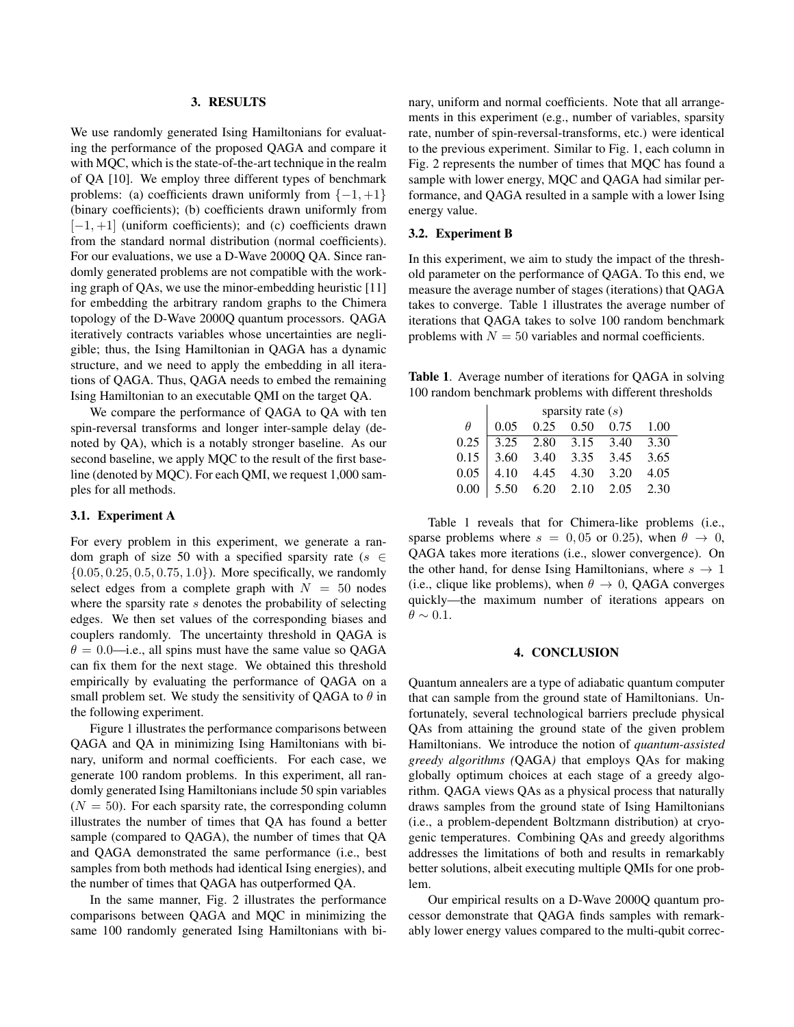#### 3. RESULTS

We use randomly generated Ising Hamiltonians for evaluating the performance of the proposed QAGA and compare it with MQC, which is the state-of-the-art technique in the realm of QA [10]. We employ three different types of benchmark problems: (a) coefficients drawn uniformly from  $\{-1, +1\}$ (binary coefficients); (b) coefficients drawn uniformly from  $[-1, +1]$  (uniform coefficients); and (c) coefficients drawn from the standard normal distribution (normal coefficients). For our evaluations, we use a D-Wave 2000Q QA. Since randomly generated problems are not compatible with the working graph of QAs, we use the minor-embedding heuristic [11] for embedding the arbitrary random graphs to the Chimera topology of the D-Wave 2000Q quantum processors. QAGA iteratively contracts variables whose uncertainties are negligible; thus, the Ising Hamiltonian in QAGA has a dynamic structure, and we need to apply the embedding in all iterations of QAGA. Thus, QAGA needs to embed the remaining Ising Hamiltonian to an executable QMI on the target QA.

We compare the performance of QAGA to QA with ten spin-reversal transforms and longer inter-sample delay (denoted by QA), which is a notably stronger baseline. As our second baseline, we apply MQC to the result of the first baseline (denoted by MQC). For each QMI, we request 1,000 samples for all methods.

#### 3.1. Experiment A

For every problem in this experiment, we generate a random graph of size 50 with a specified sparsity rate ( $s \in$  $\{0.05, 0.25, 0.5, 0.75, 1.0\}$ . More specifically, we randomly select edges from a complete graph with  $N = 50$  nodes where the sparsity rate  $s$  denotes the probability of selecting edges. We then set values of the corresponding biases and couplers randomly. The uncertainty threshold in QAGA is  $\theta = 0.0$ —i.e., all spins must have the same value so QAGA can fix them for the next stage. We obtained this threshold empirically by evaluating the performance of QAGA on a small problem set. We study the sensitivity of QAGA to  $\theta$  in the following experiment.

Figure 1 illustrates the performance comparisons between QAGA and QA in minimizing Ising Hamiltonians with binary, uniform and normal coefficients. For each case, we generate 100 random problems. In this experiment, all randomly generated Ising Hamiltonians include 50 spin variables  $(N = 50)$ . For each sparsity rate, the corresponding column illustrates the number of times that QA has found a better sample (compared to QAGA), the number of times that QA and QAGA demonstrated the same performance (i.e., best samples from both methods had identical Ising energies), and the number of times that QAGA has outperformed QA.

In the same manner, Fig. 2 illustrates the performance comparisons between QAGA and MQC in minimizing the same 100 randomly generated Ising Hamiltonians with binary, uniform and normal coefficients. Note that all arrangements in this experiment (e.g., number of variables, sparsity rate, number of spin-reversal-transforms, etc.) were identical to the previous experiment. Similar to Fig. 1, each column in Fig. 2 represents the number of times that MQC has found a sample with lower energy, MQC and QAGA had similar performance, and QAGA resulted in a sample with a lower Ising energy value.

### 3.2. Experiment B

In this experiment, we aim to study the impact of the threshold parameter on the performance of QAGA. To this end, we measure the average number of stages (iterations) that QAGA takes to converge. Table 1 illustrates the average number of iterations that QAGA takes to solve 100 random benchmark problems with  $N = 50$  variables and normal coefficients.

Table 1. Average number of iterations for QAGA in solving 100 random benchmark problems with different thresholds

|      | sparsity rate $(s)$ |                     |                   |      |      |
|------|---------------------|---------------------|-------------------|------|------|
| Ĥ    | 0.05                |                     | $0.25 \quad 0.50$ | 0.75 | 1.00 |
| 0.25 |                     | 3.25 2.80 3.15 3.40 |                   |      | 3.30 |
| 0.15 |                     | 3.60 3.40 3.35 3.45 |                   |      | 3.65 |
| 0.05 | 4.10                | 4.45                | 4.30              | 3.20 | 4.05 |
| 0.00 |                     | 5.50 6.20 2.10      |                   | 2.05 | 2.30 |

Table 1 reveals that for Chimera-like problems (i.e., sparse problems where  $s = 0.05$  or 0.25), when  $\theta \rightarrow 0$ , QAGA takes more iterations (i.e., slower convergence). On the other hand, for dense Ising Hamiltonians, where  $s \to 1$ (i.e., clique like problems), when  $\theta \rightarrow 0$ , QAGA converges quickly—the maximum number of iterations appears on  $\theta \sim 0.1$ .

#### 4. CONCLUSION

Quantum annealers are a type of adiabatic quantum computer that can sample from the ground state of Hamiltonians. Unfortunately, several technological barriers preclude physical QAs from attaining the ground state of the given problem Hamiltonians. We introduce the notion of *quantum-assisted greedy algorithms (*QAGA*)* that employs QAs for making globally optimum choices at each stage of a greedy algorithm. QAGA views QAs as a physical process that naturally draws samples from the ground state of Ising Hamiltonians (i.e., a problem-dependent Boltzmann distribution) at cryogenic temperatures. Combining QAs and greedy algorithms addresses the limitations of both and results in remarkably better solutions, albeit executing multiple QMIs for one problem.

Our empirical results on a D-Wave 2000Q quantum processor demonstrate that QAGA finds samples with remarkably lower energy values compared to the multi-qubit correc-